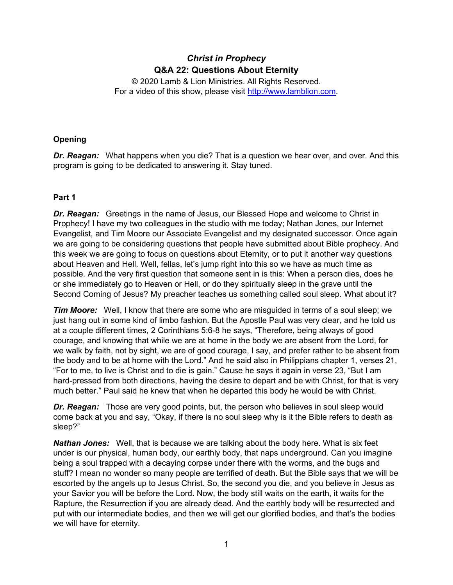# *Christ in Prophecy* **Q&A 22: Questions About Eternity**

© 2020 Lamb & Lion Ministries. All Rights Reserved. For a video of this show, please visit [http://www.lamblion.com.](http://www.lamblion.com/)

# **Opening**

*Dr. Reagan:* What happens when you die? That is a question we hear over, and over. And this program is going to be dedicated to answering it. Stay tuned.

# **Part 1**

*Dr. Reagan:* Greetings in the name of Jesus, our Blessed Hope and welcome to Christ in Prophecy! I have my two colleagues in the studio with me today; Nathan Jones, our Internet Evangelist, and Tim Moore our Associate Evangelist and my designated successor. Once again we are going to be considering questions that people have submitted about Bible prophecy. And this week we are going to focus on questions about Eternity, or to put it another way questions about Heaven and Hell. Well, fellas, let's jump right into this so we have as much time as possible. And the very first question that someone sent in is this: When a person dies, does he or she immediately go to Heaven or Hell, or do they spiritually sleep in the grave until the Second Coming of Jesus? My preacher teaches us something called soul sleep. What about it?

*Tim Moore:* Well, I know that there are some who are misguided in terms of a soul sleep; we just hang out in some kind of limbo fashion. But the Apostle Paul was very clear, and he told us at a couple different times, 2 Corinthians 5:6-8 he says, "Therefore, being always of good courage, and knowing that while we are at home in the body we are absent from the Lord, for we walk by faith, not by sight, we are of good courage, I say, and prefer rather to be absent from the body and to be at home with the Lord." And he said also in Philippians chapter 1, verses 21, "For to me, to live is Christ and to die is gain." Cause he says it again in verse 23, "But I am hard-pressed from both directions, having the desire to depart and be with Christ, for that is very much better." Paul said he knew that when he departed this body he would be with Christ.

*Dr. Reagan:* Those are very good points, but, the person who believes in soul sleep would come back at you and say, "Okay, if there is no soul sleep why is it the Bible refers to death as sleep?"

*Nathan Jones:* Well, that is because we are talking about the body here. What is six feet under is our physical, human body, our earthly body, that naps underground. Can you imagine being a soul trapped with a decaying corpse under there with the worms, and the bugs and stuff? I mean no wonder so many people are terrified of death. But the Bible says that we will be escorted by the angels up to Jesus Christ. So, the second you die, and you believe in Jesus as your Savior you will be before the Lord. Now, the body still waits on the earth, it waits for the Rapture, the Resurrection if you are already dead. And the earthly body will be resurrected and put with our intermediate bodies, and then we will get our glorified bodies, and that's the bodies we will have for eternity.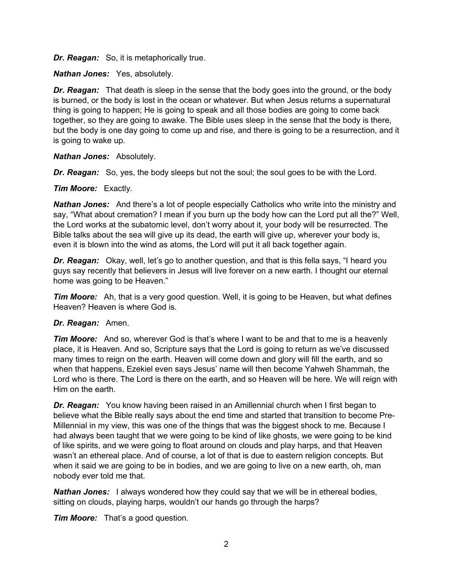*Dr. Reagan:* So, it is metaphorically true.

*Nathan Jones:* Yes, absolutely.

*Dr. Reagan:* That death is sleep in the sense that the body goes into the ground, or the body is burned, or the body is lost in the ocean or whatever. But when Jesus returns a supernatural thing is going to happen; He is going to speak and all those bodies are going to come back together, so they are going to awake. The Bible uses sleep in the sense that the body is there, but the body is one day going to come up and rise, and there is going to be a resurrection, and it is going to wake up.

## *Nathan Jones:* Absolutely.

*Dr. Reagan:* So, yes, the body sleeps but not the soul; the soul goes to be with the Lord.

## *Tim Moore:* Exactly.

*Nathan Jones:* And there's a lot of people especially Catholics who write into the ministry and say, "What about cremation? I mean if you burn up the body how can the Lord put all the?" Well, the Lord works at the subatomic level, don't worry about it, your body will be resurrected. The Bible talks about the sea will give up its dead, the earth will give up, wherever your body is, even it is blown into the wind as atoms, the Lord will put it all back together again.

*Dr. Reagan:* Okay, well, let's go to another question, and that is this fella says, "I heard you guys say recently that believers in Jesus will live forever on a new earth. I thought our eternal home was going to be Heaven."

*Tim Moore:* Ah, that is a very good question. Well, it is going to be Heaven, but what defines Heaven? Heaven is where God is.

# *Dr. Reagan:* Amen.

*Tim Moore:* And so, wherever God is that's where I want to be and that to me is a heavenly place, it is Heaven. And so, Scripture says that the Lord is going to return as we've discussed many times to reign on the earth. Heaven will come down and glory will fill the earth, and so when that happens, Ezekiel even says Jesus' name will then become Yahweh Shammah, the Lord who is there. The Lord is there on the earth, and so Heaven will be here. We will reign with Him on the earth.

*Dr. Reagan:* You know having been raised in an Amillennial church when I first began to believe what the Bible really says about the end time and started that transition to become Pre-Millennial in my view, this was one of the things that was the biggest shock to me. Because I had always been taught that we were going to be kind of like ghosts, we were going to be kind of like spirits, and we were going to float around on clouds and play harps, and that Heaven wasn't an ethereal place. And of course, a lot of that is due to eastern religion concepts. But when it said we are going to be in bodies, and we are going to live on a new earth, oh, man nobody ever told me that.

*Nathan Jones:* I always wondered how they could say that we will be in ethereal bodies, sitting on clouds, playing harps, wouldn't our hands go through the harps?

*Tim Moore:* That's a good question.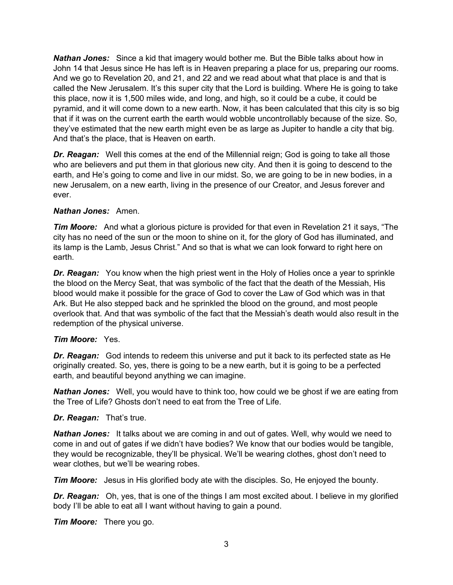*Nathan Jones:* Since a kid that imagery would bother me. But the Bible talks about how in John 14 that Jesus since He has left is in Heaven preparing a place for us, preparing our rooms. And we go to Revelation 20, and 21, and 22 and we read about what that place is and that is called the New Jerusalem. It's this super city that the Lord is building. Where He is going to take this place, now it is 1,500 miles wide, and long, and high, so it could be a cube, it could be pyramid, and it will come down to a new earth. Now, it has been calculated that this city is so big that if it was on the current earth the earth would wobble uncontrollably because of the size. So, they've estimated that the new earth might even be as large as Jupiter to handle a city that big. And that's the place, that is Heaven on earth.

**Dr. Reagan:** Well this comes at the end of the Millennial reign; God is going to take all those who are believers and put them in that glorious new city. And then it is going to descend to the earth, and He's going to come and live in our midst. So, we are going to be in new bodies, in a new Jerusalem, on a new earth, living in the presence of our Creator, and Jesus forever and ever.

# *Nathan Jones:* Amen.

*Tim Moore:* And what a glorious picture is provided for that even in Revelation 21 it says, "The city has no need of the sun or the moon to shine on it, for the glory of God has illuminated, and its lamp is the Lamb, Jesus Christ." And so that is what we can look forward to right here on earth.

*Dr. Reagan:* You know when the high priest went in the Holy of Holies once a year to sprinkle the blood on the Mercy Seat, that was symbolic of the fact that the death of the Messiah, His blood would make it possible for the grace of God to cover the Law of God which was in that Ark. But He also stepped back and he sprinkled the blood on the ground, and most people overlook that. And that was symbolic of the fact that the Messiah's death would also result in the redemption of the physical universe.

#### *Tim Moore:* Yes.

*Dr. Reagan:* God intends to redeem this universe and put it back to its perfected state as He originally created. So, yes, there is going to be a new earth, but it is going to be a perfected earth, and beautiful beyond anything we can imagine.

*Nathan Jones:* Well, you would have to think too, how could we be ghost if we are eating from the Tree of Life? Ghosts don't need to eat from the Tree of Life.

#### *Dr. Reagan:* That's true.

*Nathan Jones:* It talks about we are coming in and out of gates. Well, why would we need to come in and out of gates if we didn't have bodies? We know that our bodies would be tangible, they would be recognizable, they'll be physical. We'll be wearing clothes, ghost don't need to wear clothes, but we'll be wearing robes.

*Tim Moore:* Jesus in His glorified body ate with the disciples. So, He enjoyed the bounty.

*Dr. Reagan:* Oh, yes, that is one of the things I am most excited about. I believe in my glorified body I'll be able to eat all I want without having to gain a pound.

*Tim Moore:* There you go.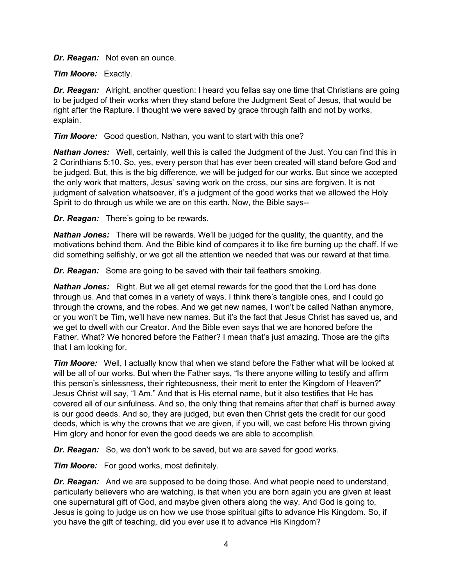*Dr. Reagan:* Not even an ounce.

*Tim Moore:* Exactly.

*Dr. Reagan:* Alright, another question: I heard you fellas say one time that Christians are going to be judged of their works when they stand before the Judgment Seat of Jesus, that would be right after the Rapture. I thought we were saved by grace through faith and not by works, explain.

*Tim Moore:* Good question, Nathan, you want to start with this one?

*Nathan Jones:* Well, certainly, well this is called the Judgment of the Just. You can find this in 2 Corinthians 5:10. So, yes, every person that has ever been created will stand before God and be judged. But, this is the big difference, we will be judged for our works. But since we accepted the only work that matters, Jesus' saving work on the cross, our sins are forgiven. It is not judgment of salvation whatsoever, it's a judgment of the good works that we allowed the Holy Spirit to do through us while we are on this earth. Now, the Bible says--

*Dr. Reagan:* There's going to be rewards.

*Nathan Jones:* There will be rewards. We'll be judged for the quality, the quantity, and the motivations behind them. And the Bible kind of compares it to like fire burning up the chaff. If we did something selfishly, or we got all the attention we needed that was our reward at that time.

*Dr. Reagan:* Some are going to be saved with their tail feathers smoking.

*Nathan Jones:* Right. But we all get eternal rewards for the good that the Lord has done through us. And that comes in a variety of ways. I think there's tangible ones, and I could go through the crowns, and the robes. And we get new names, I won't be called Nathan anymore, or you won't be Tim, we'll have new names. But it's the fact that Jesus Christ has saved us, and we get to dwell with our Creator. And the Bible even says that we are honored before the Father. What? We honored before the Father? I mean that's just amazing. Those are the gifts that I am looking for.

*Tim Moore:* Well, I actually know that when we stand before the Father what will be looked at will be all of our works. But when the Father says, "Is there anyone willing to testify and affirm this person's sinlessness, their righteousness, their merit to enter the Kingdom of Heaven?" Jesus Christ will say, "I Am." And that is His eternal name, but it also testifies that He has covered all of our sinfulness. And so, the only thing that remains after that chaff is burned away is our good deeds. And so, they are judged, but even then Christ gets the credit for our good deeds, which is why the crowns that we are given, if you will, we cast before His thrown giving Him glory and honor for even the good deeds we are able to accomplish.

*Dr. Reagan:* So, we don't work to be saved, but we are saved for good works.

*Tim Moore:* For good works, most definitely.

*Dr. Reagan:* And we are supposed to be doing those. And what people need to understand, particularly believers who are watching, is that when you are born again you are given at least one supernatural gift of God, and maybe given others along the way. And God is going to, Jesus is going to judge us on how we use those spiritual gifts to advance His Kingdom. So, if you have the gift of teaching, did you ever use it to advance His Kingdom?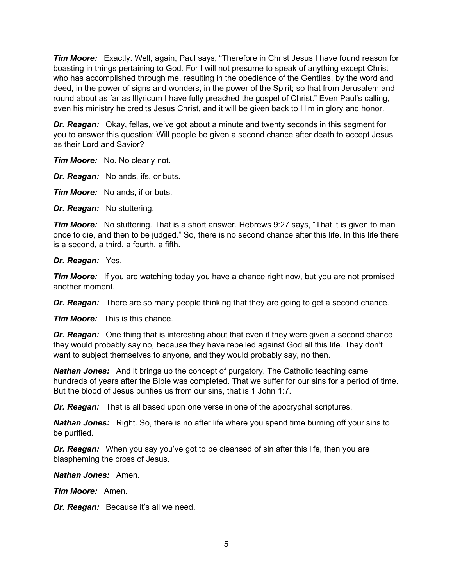*Tim Moore:* Exactly. Well, again, Paul says, "Therefore in Christ Jesus I have found reason for boasting in things pertaining to God. For I will not presume to speak of anything except Christ who has accomplished through me, resulting in the obedience of the Gentiles, by the word and deed, in the power of signs and wonders, in the power of the Spirit; so that from Jerusalem and round about as far as Illyricum I have fully preached the gospel of Christ." Even Paul's calling, even his ministry he credits Jesus Christ, and it will be given back to Him in glory and honor.

*Dr. Reagan:* Okay, fellas, we've got about a minute and twenty seconds in this segment for you to answer this question: Will people be given a second chance after death to accept Jesus as their Lord and Savior?

*Tim Moore:* No. No clearly not.

*Dr. Reagan:* No ands, ifs, or buts.

*Tim Moore:* No ands, if or buts.

*Dr. Reagan:* No stuttering.

*Tim Moore:* No stuttering. That is a short answer. Hebrews 9:27 says, "That it is given to man once to die, and then to be judged." So, there is no second chance after this life. In this life there is a second, a third, a fourth, a fifth.

*Dr. Reagan:* Yes.

*Tim Moore:* If you are watching today you have a chance right now, but you are not promised another moment.

*Dr. Reagan:* There are so many people thinking that they are going to get a second chance.

*Tim Moore:* This is this chance.

*Dr. Reagan:* One thing that is interesting about that even if they were given a second chance they would probably say no, because they have rebelled against God all this life. They don't want to subject themselves to anyone, and they would probably say, no then.

*Nathan Jones:* And it brings up the concept of purgatory. The Catholic teaching came hundreds of years after the Bible was completed. That we suffer for our sins for a period of time. But the blood of Jesus purifies us from our sins, that is 1 John 1:7.

*Dr. Reagan:* That is all based upon one verse in one of the apocryphal scriptures.

*Nathan Jones:* Right. So, there is no after life where you spend time burning off your sins to be purified.

*Dr. Reagan:* When you say you've got to be cleansed of sin after this life, then you are blaspheming the cross of Jesus.

*Nathan Jones:* Amen.

*Tim Moore:* Amen.

*Dr. Reagan:* Because it's all we need.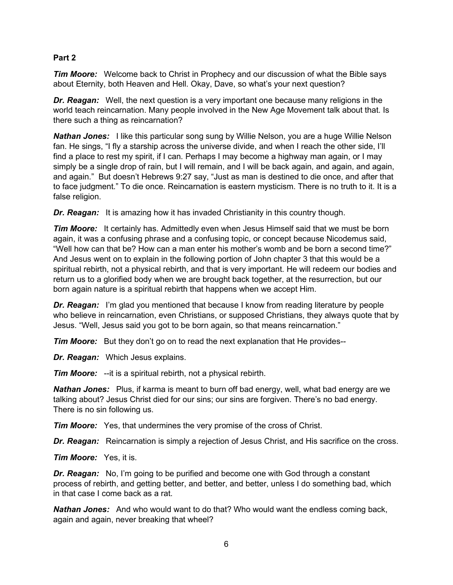# **Part 2**

*Tim Moore:* Welcome back to Christ in Prophecy and our discussion of what the Bible says about Eternity, both Heaven and Hell. Okay, Dave, so what's your next question?

*Dr. Reagan:* Well, the next question is a very important one because many religions in the world teach reincarnation. Many people involved in the New Age Movement talk about that. Is there such a thing as reincarnation?

*Nathan Jones:* I like this particular song sung by Willie Nelson, you are a huge Willie Nelson fan. He sings, "I fly a starship across the universe divide, and when I reach the other side, I'll find a place to rest my spirit, if I can. Perhaps I may become a highway man again, or I may simply be a single drop of rain, but I will remain, and I will be back again, and again, and again, and again." But doesn't Hebrews 9:27 say, "Just as man is destined to die once, and after that to face judgment." To die once. Reincarnation is eastern mysticism. There is no truth to it. It is a false religion.

*Dr. Reagan:* It is amazing how it has invaded Christianity in this country though.

*Tim Moore:* It certainly has. Admittedly even when Jesus Himself said that we must be born again, it was a confusing phrase and a confusing topic, or concept because Nicodemus said, "Well how can that be? How can a man enter his mother's womb and be born a second time?" And Jesus went on to explain in the following portion of John chapter 3 that this would be a spiritual rebirth, not a physical rebirth, and that is very important. He will redeem our bodies and return us to a glorified body when we are brought back together, at the resurrection, but our born again nature is a spiritual rebirth that happens when we accept Him.

*Dr. Reagan:* I'm glad you mentioned that because I know from reading literature by people who believe in reincarnation, even Christians, or supposed Christians, they always quote that by Jesus. "Well, Jesus said you got to be born again, so that means reincarnation."

*Tim Moore:* But they don't go on to read the next explanation that He provides--

*Dr. Reagan:* Which Jesus explains.

*Tim Moore:* --it is a spiritual rebirth, not a physical rebirth.

*Nathan Jones:* Plus, if karma is meant to burn off bad energy, well, what bad energy are we talking about? Jesus Christ died for our sins; our sins are forgiven. There's no bad energy. There is no sin following us.

*Tim Moore:* Yes, that undermines the very promise of the cross of Christ.

*Dr. Reagan:* Reincarnation is simply a rejection of Jesus Christ, and His sacrifice on the cross.

*Tim Moore:* Yes, it is.

*Dr. Reagan:* No, I'm going to be purified and become one with God through a constant process of rebirth, and getting better, and better, and better, unless I do something bad, which in that case I come back as a rat.

*Nathan Jones:* And who would want to do that? Who would want the endless coming back, again and again, never breaking that wheel?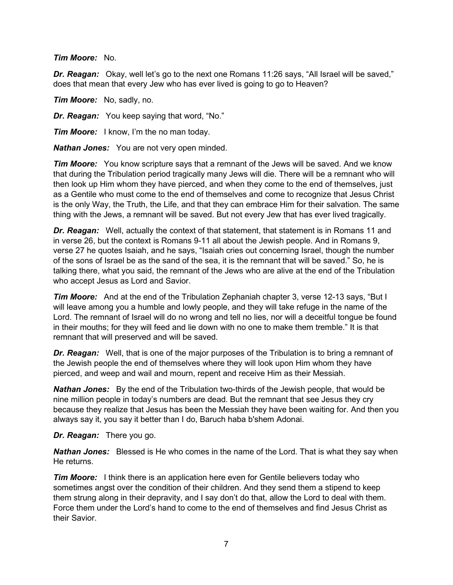*Tim Moore:* No.

*Dr. Reagan:* Okay, well let's go to the next one Romans 11:26 says, "All Israel will be saved," does that mean that every Jew who has ever lived is going to go to Heaven?

*Tim Moore:* No, sadly, no.

*Dr. Reagan:* You keep saying that word, "No."

*Tim Moore:* I know, I'm the no man today.

*Nathan Jones:* You are not very open minded.

*Tim Moore:* You know scripture says that a remnant of the Jews will be saved. And we know that during the Tribulation period tragically many Jews will die. There will be a remnant who will then look up Him whom they have pierced, and when they come to the end of themselves, just as a Gentile who must come to the end of themselves and come to recognize that Jesus Christ is the only Way, the Truth, the Life, and that they can embrace Him for their salvation. The same thing with the Jews, a remnant will be saved. But not every Jew that has ever lived tragically.

*Dr. Reagan:* Well, actually the context of that statement, that statement is in Romans 11 and in verse 26, but the context is Romans 9-11 all about the Jewish people. And in Romans 9, verse 27 he quotes Isaiah, and he says, "Isaiah cries out concerning Israel, though the number of the sons of Israel be as the sand of the sea, it is the remnant that will be saved." So, he is talking there, what you said, the remnant of the Jews who are alive at the end of the Tribulation who accept Jesus as Lord and Savior.

*Tim Moore:* And at the end of the Tribulation Zephaniah chapter 3, verse 12-13 says, "But I will leave among you a humble and lowly people, and they will take refuge in the name of the Lord. The remnant of Israel will do no wrong and tell no lies, nor will a deceitful tongue be found in their mouths; for they will feed and lie down with no one to make them tremble." It is that remnant that will preserved and will be saved.

*Dr. Reagan:* Well, that is one of the major purposes of the Tribulation is to bring a remnant of the Jewish people the end of themselves where they will look upon Him whom they have pierced, and weep and wail and mourn, repent and receive Him as their Messiah.

*Nathan Jones:* By the end of the Tribulation two-thirds of the Jewish people, that would be nine million people in today's numbers are dead. But the remnant that see Jesus they cry because they realize that Jesus has been the Messiah they have been waiting for. And then you always say it, you say it better than I do, Baruch haba b'shem Adonai.

*Dr. Reagan:* There you go.

*Nathan Jones:* Blessed is He who comes in the name of the Lord. That is what they say when He returns.

*Tim Moore:* I think there is an application here even for Gentile believers today who sometimes angst over the condition of their children. And they send them a stipend to keep them strung along in their depravity, and I say don't do that, allow the Lord to deal with them. Force them under the Lord's hand to come to the end of themselves and find Jesus Christ as their Savior.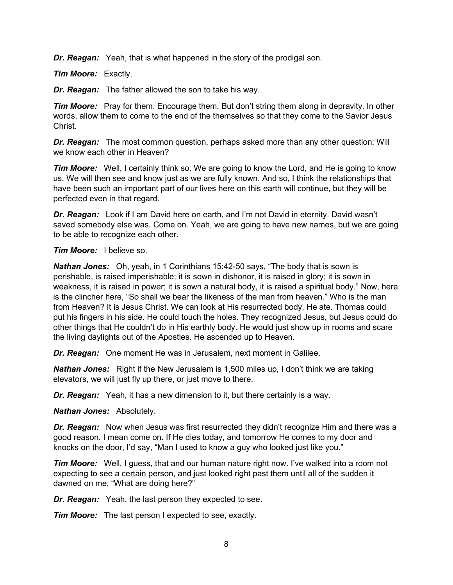*Dr. Reagan:* Yeah, that is what happened in the story of the prodigal son.

*Tim Moore:* Exactly.

*Dr. Reagan:* The father allowed the son to take his way.

*Tim Moore:* Pray for them. Encourage them. But don't string them along in depravity. In other words, allow them to come to the end of the themselves so that they come to the Savior Jesus Christ.

*Dr. Reagan:* The most common question, perhaps asked more than any other question: Will we know each other in Heaven?

*Tim Moore:* Well, I certainly think so. We are going to know the Lord, and He is going to know us. We will then see and know just as we are fully known. And so, I think the relationships that have been such an important part of our lives here on this earth will continue, but they will be perfected even in that regard.

*Dr. Reagan:* Look if I am David here on earth, and I'm not David in eternity. David wasn't saved somebody else was. Come on. Yeah, we are going to have new names, but we are going to be able to recognize each other.

## *Tim Moore:* I believe so.

*Nathan Jones:* Oh, yeah, in 1 Corinthians 15:42-50 says, "The body that is sown is perishable, is raised imperishable; it is sown in dishonor, it is raised in glory; it is sown in weakness, it is raised in power; it is sown a natural body, it is raised a spiritual body." Now, here is the clincher here, "So shall we bear the likeness of the man from heaven." Who is the man from Heaven? It is Jesus Christ. We can look at His resurrected body, He ate. Thomas could put his fingers in his side. He could touch the holes. They recognized Jesus, but Jesus could do other things that He couldn't do in His earthly body. He would just show up in rooms and scare the living daylights out of the Apostles. He ascended up to Heaven.

*Dr. Reagan:* One moment He was in Jerusalem, next moment in Galilee.

*Nathan Jones:* Right if the New Jerusalem is 1,500 miles up, I don't think we are taking elevators, we will just fly up there, or just move to there.

*Dr. Reagan:* Yeah, it has a new dimension to it, but there certainly is a way.

*Nathan Jones:* Absolutely.

*Dr. Reagan:* Now when Jesus was first resurrected they didn't recognize Him and there was a good reason. I mean come on. If He dies today, and tomorrow He comes to my door and knocks on the door, I'd say, "Man I used to know a guy who looked just like you."

*Tim Moore:* Well, I guess, that and our human nature right now. I've walked into a room not expecting to see a certain person, and just looked right past them until all of the sudden it dawned on me, "What are doing here?"

*Dr. Reagan:* Yeah, the last person they expected to see.

*Tim Moore:* The last person I expected to see, exactly.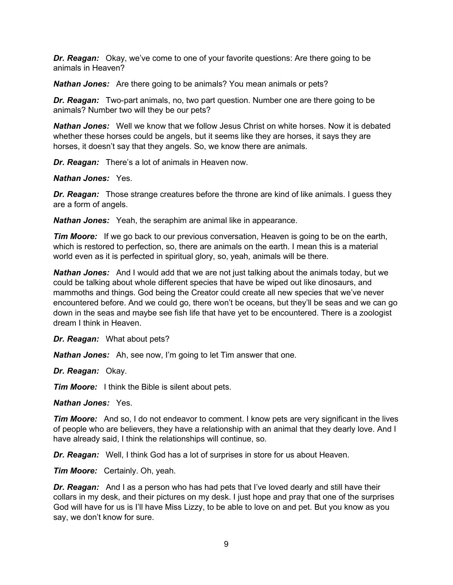*Dr. Reagan:* Okay, we've come to one of your favorite questions: Are there going to be animals in Heaven?

*Nathan Jones:* Are there going to be animals? You mean animals or pets?

*Dr. Reagan:* Two-part animals, no, two part question. Number one are there going to be animals? Number two will they be our pets?

*Nathan Jones:* Well we know that we follow Jesus Christ on white horses. Now it is debated whether these horses could be angels, but it seems like they are horses, it says they are horses, it doesn't say that they angels. So, we know there are animals.

*Dr. Reagan:* There's a lot of animals in Heaven now.

#### *Nathan Jones:* Yes.

*Dr. Reagan:* Those strange creatures before the throne are kind of like animals. I guess they are a form of angels.

*Nathan Jones:* Yeah, the seraphim are animal like in appearance.

*Tim Moore:* If we go back to our previous conversation, Heaven is going to be on the earth, which is restored to perfection, so, there are animals on the earth. I mean this is a material world even as it is perfected in spiritual glory, so, yeah, animals will be there.

*Nathan Jones:* And I would add that we are not just talking about the animals today, but we could be talking about whole different species that have be wiped out like dinosaurs, and mammoths and things. God being the Creator could create all new species that we've never encountered before. And we could go, there won't be oceans, but they'll be seas and we can go down in the seas and maybe see fish life that have yet to be encountered. There is a zoologist dream I think in Heaven.

*Dr. Reagan:* What about pets?

*Nathan Jones:* Ah, see now, I'm going to let Tim answer that one.

*Dr. Reagan:* Okay.

*Tim Moore:* I think the Bible is silent about pets.

#### *Nathan Jones:* Yes.

*Tim Moore:* And so, I do not endeavor to comment. I know pets are very significant in the lives of people who are believers, they have a relationship with an animal that they dearly love. And I have already said, I think the relationships will continue, so.

*Dr. Reagan:* Well, I think God has a lot of surprises in store for us about Heaven.

*Tim Moore:* Certainly. Oh, yeah.

**Dr. Reagan:** And I as a person who has had pets that I've loved dearly and still have their collars in my desk, and their pictures on my desk. I just hope and pray that one of the surprises God will have for us is I'll have Miss Lizzy, to be able to love on and pet. But you know as you say, we don't know for sure.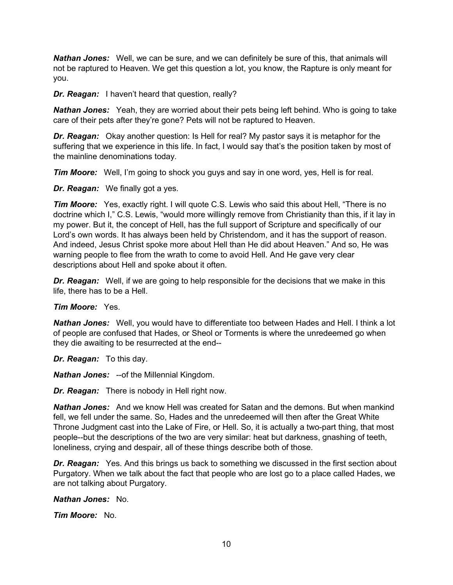*Nathan Jones:* Well, we can be sure, and we can definitely be sure of this, that animals will not be raptured to Heaven. We get this question a lot, you know, the Rapture is only meant for you.

*Dr. Reagan:* I haven't heard that question, really?

*Nathan Jones:* Yeah, they are worried about their pets being left behind. Who is going to take care of their pets after they're gone? Pets will not be raptured to Heaven.

*Dr. Reagan:* Okay another question: Is Hell for real? My pastor says it is metaphor for the suffering that we experience in this life. In fact, I would say that's the position taken by most of the mainline denominations today.

*Tim Moore:* Well, I'm going to shock you guys and say in one word, yes, Hell is for real.

*Dr. Reagan:* We finally got a yes.

*Tim Moore:* Yes, exactly right. I will quote C.S. Lewis who said this about Hell, "There is no doctrine which I," C.S. Lewis, "would more willingly remove from Christianity than this, if it lay in my power. But it, the concept of Hell, has the full support of Scripture and specifically of our Lord's own words. It has always been held by Christendom, and it has the support of reason. And indeed, Jesus Christ spoke more about Hell than He did about Heaven." And so, He was warning people to flee from the wrath to come to avoid Hell. And He gave very clear descriptions about Hell and spoke about it often.

**Dr. Reagan:** Well, if we are going to help responsible for the decisions that we make in this life, there has to be a Hell.

*Tim Moore:* Yes.

*Nathan Jones:* Well, you would have to differentiate too between Hades and Hell. I think a lot of people are confused that Hades, or Sheol or Torments is where the unredeemed go when they die awaiting to be resurrected at the end--

*Dr. Reagan:* To this day.

*Nathan Jones:* --of the Millennial Kingdom.

*Dr. Reagan:* There is nobody in Hell right now.

*Nathan Jones:* And we know Hell was created for Satan and the demons. But when mankind fell, we fell under the same. So, Hades and the unredeemed will then after the Great White Throne Judgment cast into the Lake of Fire, or Hell. So, it is actually a two-part thing, that most people--but the descriptions of the two are very similar: heat but darkness, gnashing of teeth, loneliness, crying and despair, all of these things describe both of those.

**Dr. Reagan:** Yes. And this brings us back to something we discussed in the first section about Purgatory. When we talk about the fact that people who are lost go to a place called Hades, we are not talking about Purgatory.

*Nathan Jones:* No.

*Tim Moore:* No.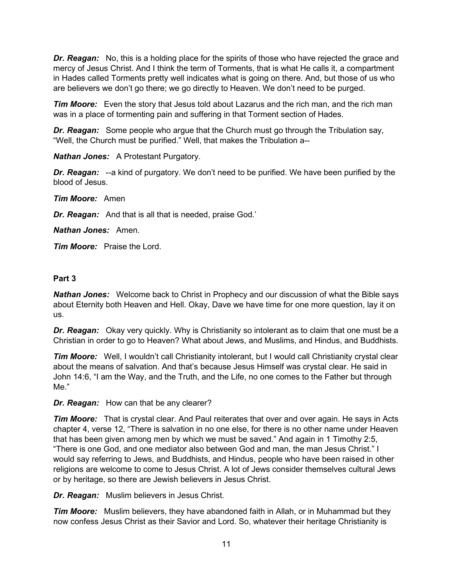*Dr. Reagan:* No, this is a holding place for the spirits of those who have rejected the grace and mercy of Jesus Christ. And I think the term of Torments, that is what He calls it, a compartment in Hades called Torments pretty well indicates what is going on there. And, but those of us who are believers we don't go there; we go directly to Heaven. We don't need to be purged.

*Tim Moore:* Even the story that Jesus told about Lazarus and the rich man, and the rich man was in a place of tormenting pain and suffering in that Torment section of Hades.

*Dr. Reagan:* Some people who argue that the Church must go through the Tribulation say, "Well, the Church must be purified." Well, that makes the Tribulation a--

*Nathan Jones:* A Protestant Purgatory.

*Dr. Reagan:* --a kind of purgatory. We don't need to be purified. We have been purified by the blood of Jesus.

*Tim Moore:* Amen

*Dr. Reagan:* And that is all that is needed, praise God.'

*Nathan Jones:* Amen.

*Tim Moore:* Praise the Lord.

## **Part 3**

*Nathan Jones:* Welcome back to Christ in Prophecy and our discussion of what the Bible says about Eternity both Heaven and Hell. Okay, Dave we have time for one more question, lay it on us.

*Dr. Reagan:* Okay very quickly. Why is Christianity so intolerant as to claim that one must be a Christian in order to go to Heaven? What about Jews, and Muslims, and Hindus, and Buddhists.

*Tim Moore:* Well, I wouldn't call Christianity intolerant, but I would call Christianity crystal clear about the means of salvation. And that's because Jesus Himself was crystal clear. He said in John 14:6, "I am the Way, and the Truth, and the Life, no one comes to the Father but through Me."

*Dr. Reagan:* How can that be any clearer?

*Tim Moore:* That is crystal clear. And Paul reiterates that over and over again. He says in Acts chapter 4, verse 12, "There is salvation in no one else, for there is no other name under Heaven that has been given among men by which we must be saved." And again in 1 Timothy 2:5, "There is one God, and one mediator also between God and man, the man Jesus Christ." I would say referring to Jews, and Buddhists, and Hindus, people who have been raised in other religions are welcome to come to Jesus Christ. A lot of Jews consider themselves cultural Jews or by heritage, so there are Jewish believers in Jesus Christ.

*Dr. Reagan:* Muslim believers in Jesus Christ.

*Tim Moore:* Muslim believers, they have abandoned faith in Allah, or in Muhammad but they now confess Jesus Christ as their Savior and Lord. So, whatever their heritage Christianity is